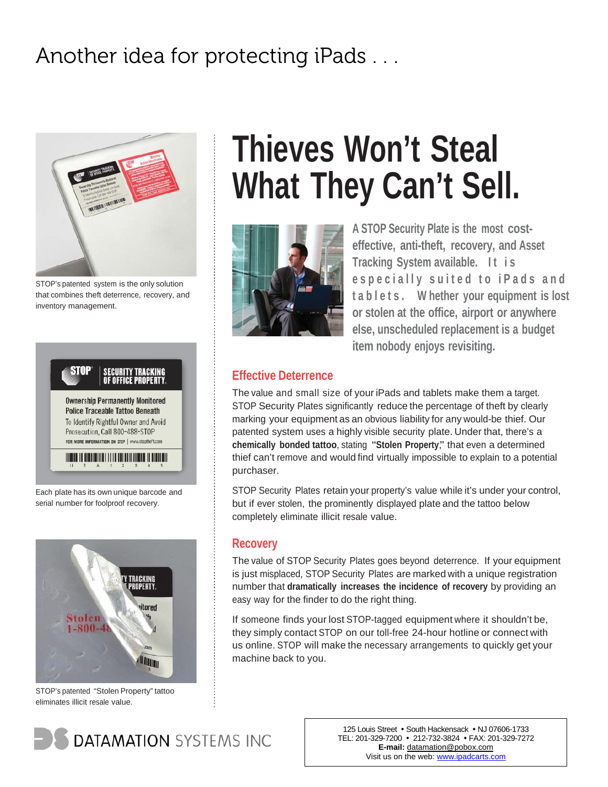### Another idea for protecting iPads . . .



STOP's patented system is the only solution that combines theft deterrence, recovery, and inventory management.



Each plate has its own unique barcode and serial number for foolproof recovery.



STOP's patented "Stolen Property" tattoo eliminates illicit resale value.

# **Thieves Won't Steal What They Can't Sell.**



**A STOP Security Plate is the most costeffective, anti-theft, recovery, and Asset Tracking System available.** It is **especially suited to iPads and t a b l e t s . W hether your equipment is lost or stolen at the office, airport or anywhere else, unscheduled replacement is a budget item nobody enjoys revisiting.**

### **Effective Deterrence**

The value and small size of your iPads and tablets make them a target. STOP Security Plates significantly reduce the percentage of theft by clearly marking your equipment as an obvious liability for any would-be thief. Our patented system uses a highly visible security plate. Under that, there's a **chemically bonded tattoo**, stating "**Stolen Property**," that even a determined thief can't remove and would find virtually impossible to explain to a potential purchaser.

STOP Security Plates retain your property's value while it's under your control, but if ever stolen, the prominently displayed plate and the tattoo below completely eliminate illicit resale value.

### **Recovery**

The value of STOP Security Plates goes beyond deterrence. If your equipment is just misplaced, STOP Security Plates are marked with a unique registration number that **dramatically increases the incidence of recovery** by providing an easy way for the finder to do the right thing.

If someone finds your lost STOP-tagged equipment where it shouldn't be, they simply contact STOP on our toll-free 24-hour hotline or connect with us online. STOP will make the necessary arrangements to quickly get your machine back to you.

**DATAMATION SYSTEMS INC** 

TEL: 201-329-7200 · 212-732-3824 · FAX: 201-329-7272 **E-mail:** datamation@pobox.com Visit us on the web: www.ipadcarts.com 125 Louis Street • South Hackensack • NJ 07606-1733